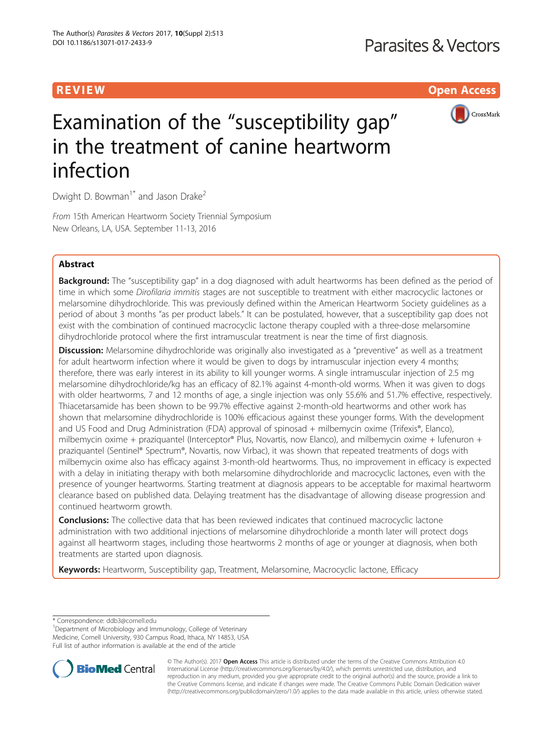R EVI EW Open Access



# Examination of the "susceptibility gap" in the treatment of canine heartworm infection

Dwight D. Bowman<sup>1\*</sup> and Jason Drake<sup>2</sup>

From 15th American Heartworm Society Triennial Symposium New Orleans, LA, USA. September 11-13, 2016

# Abstract

**Background:** The "susceptibility gap" in a dog diagnosed with adult heartworms has been defined as the period of time in which some Dirofilaria immitis stages are not susceptible to treatment with either macrocyclic lactones or melarsomine dihydrochloride. This was previously defined within the American Heartworm Society guidelines as a period of about 3 months "as per product labels." It can be postulated, however, that a susceptibility gap does not exist with the combination of continued macrocyclic lactone therapy coupled with a three-dose melarsomine dihydrochloride protocol where the first intramuscular treatment is near the time of first diagnosis.

Discussion: Melarsomine dihydrochloride was originally also investigated as a "preventive" as well as a treatment for adult heartworm infection where it would be given to dogs by intramuscular injection every 4 months; therefore, there was early interest in its ability to kill younger worms. A single intramuscular injection of 2.5 mg melarsomine dihydrochloride/kg has an efficacy of 82.1% against 4-month-old worms. When it was given to dogs with older heartworms, 7 and 12 months of age, a single injection was only 55.6% and 51.7% effective, respectively. Thiacetarsamide has been shown to be 99.7% effective against 2-month-old heartworms and other work has shown that melarsomine dihydrochloride is 100% efficacious against these younger forms. With the development and US Food and Drug Administration (FDA) approval of spinosad + milbemycin oxime (Trifexis®, Elanco), milbemycin oxime + praziquantel (Interceptor® Plus, Novartis, now Elanco), and milbemycin oxime + lufenuron + praziquantel (Sentinel® Spectrum®, Novartis, now Virbac), it was shown that repeated treatments of dogs with milbemycin oxime also has efficacy against 3-month-old heartworms. Thus, no improvement in efficacy is expected with a delay in initiating therapy with both melarsomine dihydrochloride and macrocyclic lactones, even with the presence of younger heartworms. Starting treatment at diagnosis appears to be acceptable for maximal heartworm clearance based on published data. Delaying treatment has the disadvantage of allowing disease progression and continued heartworm growth.

Conclusions: The collective data that has been reviewed indicates that continued macrocyclic lactone administration with two additional injections of melarsomine dihydrochloride a month later will protect dogs against all heartworm stages, including those heartworms 2 months of age or younger at diagnosis, when both treatments are started upon diagnosis.

Keywords: Heartworm, Susceptibility gap, Treatment, Melarsomine, Macrocyclic lactone, Efficacy

Department of Microbiology and Immunology, College of Veterinary Medicine, Cornell University, 930 Campus Road, Ithaca, NY 14853, USA Full list of author information is available at the end of the article



© The Author(s). 2017 **Open Access** This article is distributed under the terms of the Creative Commons Attribution 4.0 International License [\(http://creativecommons.org/licenses/by/4.0/](http://creativecommons.org/licenses/by/4.0/)), which permits unrestricted use, distribution, and reproduction in any medium, provided you give appropriate credit to the original author(s) and the source, provide a link to the Creative Commons license, and indicate if changes were made. The Creative Commons Public Domain Dedication waiver [\(http://creativecommons.org/publicdomain/zero/1.0/](http://creativecommons.org/publicdomain/zero/1.0/)) applies to the data made available in this article, unless otherwise stated.

<sup>\*</sup> Correspondence: [ddb3@cornell.edu](mailto:ddb3@cornell.edu) <sup>1</sup>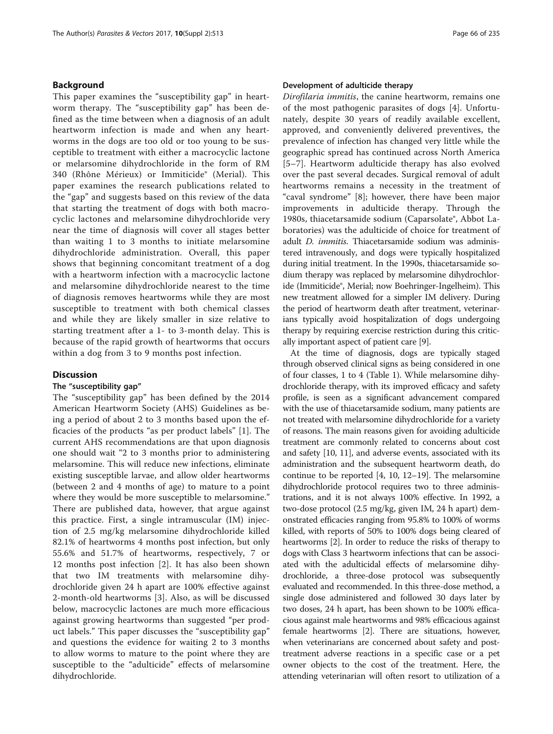# Background

This paper examines the "susceptibility gap" in heartworm therapy. The "susceptibility gap" has been defined as the time between when a diagnosis of an adult heartworm infection is made and when any heartworms in the dogs are too old or too young to be susceptible to treatment with either a macrocyclic lactone or melarsomine dihydrochloride in the form of RM 340 (Rhône Mérieux) or Immiticide® (Merial). This paper examines the research publications related to the "gap" and suggests based on this review of the data that starting the treatment of dogs with both macrocyclic lactones and melarsomine dihydrochloride very near the time of diagnosis will cover all stages better than waiting 1 to 3 months to initiate melarsomine dihydrochloride administration. Overall, this paper shows that beginning concomitant treatment of a dog with a heartworm infection with a macrocyclic lactone and melarsomine dihydrochloride nearest to the time of diagnosis removes heartworms while they are most susceptible to treatment with both chemical classes and while they are likely smaller in size relative to starting treatment after a 1- to 3-month delay. This is because of the rapid growth of heartworms that occurs within a dog from 3 to 9 months post infection.

# **Discussion**

# The "susceptibility gap"

The "susceptibility gap" has been defined by the 2014 American Heartworm Society (AHS) Guidelines as being a period of about 2 to 3 months based upon the efficacies of the products "as per product labels" [\[1](#page-7-0)]. The current AHS recommendations are that upon diagnosis one should wait "2 to 3 months prior to administering melarsomine. This will reduce new infections, eliminate existing susceptible larvae, and allow older heartworms (between 2 and 4 months of age) to mature to a point where they would be more susceptible to melarsomine." There are published data, however, that argue against this practice. First, a single intramuscular (IM) injection of 2.5 mg/kg melarsomine dihydrochloride killed 82.1% of heartworms 4 months post infection, but only 55.6% and 51.7% of heartworms, respectively, 7 or 12 months post infection [[2](#page-7-0)]. It has also been shown that two IM treatments with melarsomine dihydrochloride given 24 h apart are 100% effective against 2-month-old heartworms [[3\]](#page-7-0). Also, as will be discussed below, macrocyclic lactones are much more efficacious against growing heartworms than suggested "per product labels." This paper discusses the "susceptibility gap" and questions the evidence for waiting 2 to 3 months to allow worms to mature to the point where they are susceptible to the "adulticide" effects of melarsomine dihydrochloride.

### Development of adulticide therapy

Dirofilaria immitis, the canine heartworm, remains one of the most pathogenic parasites of dogs [\[4](#page-7-0)]. Unfortunately, despite 30 years of readily available excellent, approved, and conveniently delivered preventives, the prevalence of infection has changed very little while the geographic spread has continued across North America [[5](#page-7-0)–[7](#page-7-0)]. Heartworm adulticide therapy has also evolved over the past several decades. Surgical removal of adult heartworms remains a necessity in the treatment of "caval syndrome" [[8\]](#page-7-0); however, there have been major improvements in adulticide therapy. Through the 1980s, thiacetarsamide sodium (Caparsolate®, Abbot Laboratories) was the adulticide of choice for treatment of adult D. immitis. Thiacetarsamide sodium was administered intravenously, and dogs were typically hospitalized during initial treatment. In the 1990s, thiacetarsamide sodium therapy was replaced by melarsomine dihydrochloride (Immiticide®, Merial; now Boehringer-Ingelheim). This new treatment allowed for a simpler IM delivery. During the period of heartworm death after treatment, veterinarians typically avoid hospitalization of dogs undergoing therapy by requiring exercise restriction during this critically important aspect of patient care [\[9](#page-7-0)].

At the time of diagnosis, dogs are typically staged through observed clinical signs as being considered in one of four classes, 1 to 4 (Table [1](#page-2-0)). While melarsomine dihydrochloride therapy, with its improved efficacy and safety profile, is seen as a significant advancement compared with the use of thiacetarsamide sodium, many patients are not treated with melarsomine dihydrochloride for a variety of reasons. The main reasons given for avoiding adulticide treatment are commonly related to concerns about cost and safety [\[10, 11\]](#page-7-0), and adverse events, associated with its administration and the subsequent heartworm death, do continue to be reported [\[4](#page-7-0), [10](#page-7-0), [12](#page-7-0)–[19\]](#page-7-0). The melarsomine dihydrochloride protocol requires two to three administrations, and it is not always 100% effective. In 1992, a two-dose protocol (2.5 mg/kg, given IM, 24 h apart) demonstrated efficacies ranging from 95.8% to 100% of worms killed, with reports of 50% to 100% dogs being cleared of heartworms [[2](#page-7-0)]. In order to reduce the risks of therapy to dogs with Class 3 heartworm infections that can be associated with the adulticidal effects of melarsomine dihydrochloride, a three-dose protocol was subsequently evaluated and recommended. In this three-dose method, a single dose administered and followed 30 days later by two doses, 24 h apart, has been shown to be 100% efficacious against male heartworms and 98% efficacious against female heartworms [\[2](#page-7-0)]. There are situations, however, when veterinarians are concerned about safety and posttreatment adverse reactions in a specific case or a pet owner objects to the cost of the treatment. Here, the attending veterinarian will often resort to utilization of a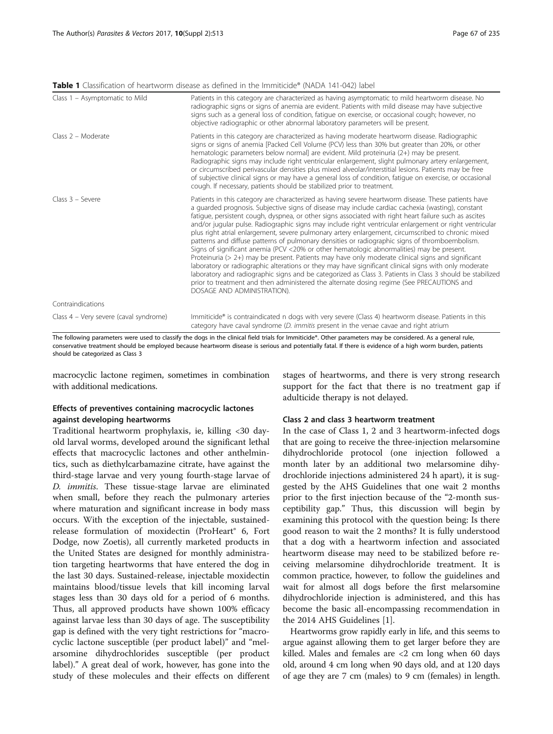<span id="page-2-0"></span>Table 1 Classification of heartworm disease as defined in the Immiticide® (NADA 141-042) label

| Class 1 - Asymptomatic to Mild         | Patients in this category are characterized as having asymptomatic to mild heartworm disease. No<br>radiographic signs or signs of anemia are evident. Patients with mild disease may have subjective<br>signs such as a general loss of condition, fatigue on exercise, or occasional cough; however, no<br>objective radiographic or other abnormal laboratory parameters will be present.                                                                                                                                                                                                                                                                                                                                                                                                                                                                                                                                                                                                                                                                                                                                                                                              |
|----------------------------------------|-------------------------------------------------------------------------------------------------------------------------------------------------------------------------------------------------------------------------------------------------------------------------------------------------------------------------------------------------------------------------------------------------------------------------------------------------------------------------------------------------------------------------------------------------------------------------------------------------------------------------------------------------------------------------------------------------------------------------------------------------------------------------------------------------------------------------------------------------------------------------------------------------------------------------------------------------------------------------------------------------------------------------------------------------------------------------------------------------------------------------------------------------------------------------------------------|
| Class $2 -$ Moderate                   | Patients in this category are characterized as having moderate heartworm disease. Radiographic<br>signs or signs of anemia [Packed Cell Volume (PCV) less than 30% but greater than 20%, or other<br>hematologic parameters below normal] are evident. Mild proteinuria (2+) may be present.<br>Radiographic signs may include right ventricular enlargement, slight pulmonary artery enlargement,<br>or circumscribed perivascular densities plus mixed alveolar/interstitial lesions. Patients may be free<br>of subjective clinical signs or may have a general loss of condition, fatigue on exercise, or occasional<br>cough. If necessary, patients should be stabilized prior to treatment.                                                                                                                                                                                                                                                                                                                                                                                                                                                                                        |
| $Class 3 - Severe$                     | Patients in this category are characterized as having severe heartworm disease. These patients have<br>a guarded prognosis. Subjective signs of disease may include cardiac cachexia (wasting), constant<br>fatique, persistent cough, dyspnea, or other signs associated with right heart failure such as ascites<br>and/or jugular pulse. Radiographic signs may include right ventricular enlargement or right ventricular<br>plus right atrial enlargement, severe pulmonary artery enlargement, circumscribed to chronic mixed<br>patterns and diffuse patterns of pulmonary densities or radiographic signs of thromboembolism.<br>Signs of significant anemia (PCV <20% or other hematologic abnormalities) may be present.<br>Proteinuria (> 2+) may be present. Patients may have only moderate clinical signs and significant<br>laboratory or radiographic alterations or they may have significant clinical signs with only moderate<br>laboratory and radiographic signs and be categorized as Class 3. Patients in Class 3 should be stabilized<br>prior to treatment and then administered the alternate dosing regime (See PRECAUTIONS and<br>DOSAGE AND ADMINISTRATION). |
| Contraindications                      |                                                                                                                                                                                                                                                                                                                                                                                                                                                                                                                                                                                                                                                                                                                                                                                                                                                                                                                                                                                                                                                                                                                                                                                           |
| Class 4 – Very severe (caval syndrome) | Immiticide® is contraindicated n dogs with very severe (Class 4) heartworm disease. Patients in this<br>category have caval syndrome (D. immitis present in the venae cavae and right atrium                                                                                                                                                                                                                                                                                                                                                                                                                                                                                                                                                                                                                                                                                                                                                                                                                                                                                                                                                                                              |

The following parameters were used to classify the dogs in the clinical field trials for Immiticide®. Other parameters may be considered. As a general rule, conservative treatment should be employed because heartworm disease is serious and potentially fatal. If there is evidence of a high worm burden, patients should be categorized as Class 3

macrocyclic lactone regimen, sometimes in combination with additional medications.

# Effects of preventives containing macrocyclic lactones against developing heartworms

Traditional heartworm prophylaxis, ie, killing <30 dayold larval worms, developed around the significant lethal effects that macrocyclic lactones and other anthelmintics, such as diethylcarbamazine citrate, have against the third-stage larvae and very young fourth-stage larvae of D. immitis. These tissue-stage larvae are eliminated when small, before they reach the pulmonary arteries where maturation and significant increase in body mass occurs. With the exception of the injectable, sustainedrelease formulation of moxidectin (ProHeart® 6, Fort Dodge, now Zoetis), all currently marketed products in the United States are designed for monthly administration targeting heartworms that have entered the dog in the last 30 days. Sustained-release, injectable moxidectin maintains blood/tissue levels that kill incoming larval stages less than 30 days old for a period of 6 months. Thus, all approved products have shown 100% efficacy against larvae less than 30 days of age. The susceptibility gap is defined with the very tight restrictions for "macrocyclic lactone susceptible (per product label)" and "melarsomine dihydrochlorides susceptible (per product label)." A great deal of work, however, has gone into the study of these molecules and their effects on different

stages of heartworms, and there is very strong research support for the fact that there is no treatment gap if adulticide therapy is not delayed.

# Class 2 and class 3 heartworm treatment

In the case of Class 1, 2 and 3 heartworm-infected dogs that are going to receive the three-injection melarsomine dihydrochloride protocol (one injection followed a month later by an additional two melarsomine dihydrochloride injections administered 24 h apart), it is suggested by the AHS Guidelines that one wait 2 months prior to the first injection because of the "2-month susceptibility gap." Thus, this discussion will begin by examining this protocol with the question being: Is there good reason to wait the 2 months? It is fully understood that a dog with a heartworm infection and associated heartworm disease may need to be stabilized before receiving melarsomine dihydrochloride treatment. It is common practice, however, to follow the guidelines and wait for almost all dogs before the first melarsomine dihydrochloride injection is administered, and this has become the basic all-encompassing recommendation in the 2014 AHS Guidelines [\[1](#page-7-0)].

Heartworms grow rapidly early in life, and this seems to argue against allowing them to get larger before they are killed. Males and females are <2 cm long when 60 days old, around 4 cm long when 90 days old, and at 120 days of age they are 7 cm (males) to 9 cm (females) in length.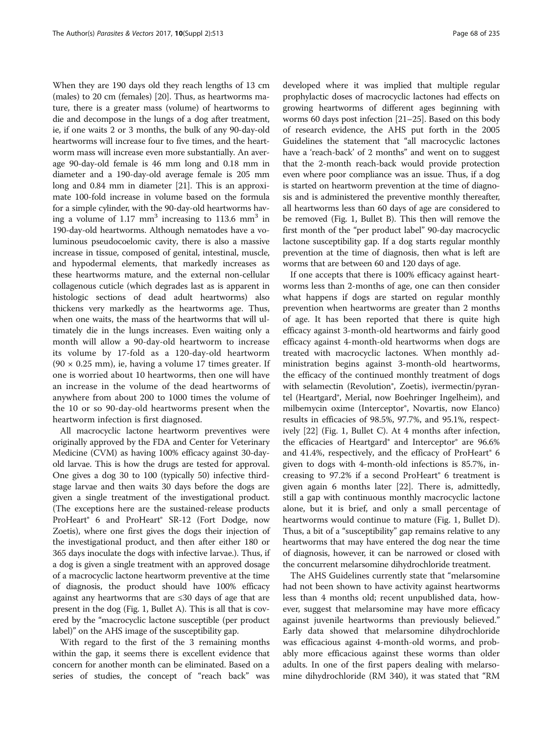When they are 190 days old they reach lengths of 13 cm (males) to 20 cm (females) [[20](#page-7-0)]. Thus, as heartworms mature, there is a greater mass (volume) of heartworms to die and decompose in the lungs of a dog after treatment, ie, if one waits 2 or 3 months, the bulk of any 90-day-old heartworms will increase four to five times, and the heartworm mass will increase even more substantially. An average 90-day-old female is 46 mm long and 0.18 mm in diameter and a 190-day-old average female is 205 mm long and 0.84 mm in diameter [\[21\]](#page-7-0). This is an approximate 100-fold increase in volume based on the formula for a simple cylinder, with the 90-day-old heartworms having a volume of  $1.17 \text{ mm}^3$  increasing to  $113.6 \text{ mm}^3$  in 190-day-old heartworms. Although nematodes have a voluminous pseudocoelomic cavity, there is also a massive increase in tissue, composed of genital, intestinal, muscle, and hypodermal elements, that markedly increases as these heartworms mature, and the external non-cellular collagenous cuticle (which degrades last as is apparent in histologic sections of dead adult heartworms) also thickens very markedly as the heartworms age. Thus, when one waits, the mass of the heartworms that will ultimately die in the lungs increases. Even waiting only a month will allow a 90-day-old heartworm to increase its volume by 17-fold as a 120-day-old heartworm  $(90 \times 0.25$  mm), ie, having a volume 17 times greater. If one is worried about 10 heartworms, then one will have an increase in the volume of the dead heartworms of anywhere from about 200 to 1000 times the volume of the 10 or so 90-day-old heartworms present when the heartworm infection is first diagnosed.

All macrocyclic lactone heartworm preventives were originally approved by the FDA and Center for Veterinary Medicine (CVM) as having 100% efficacy against 30-dayold larvae. This is how the drugs are tested for approval. One gives a dog 30 to 100 (typically 50) infective thirdstage larvae and then waits 30 days before the dogs are given a single treatment of the investigational product. (The exceptions here are the sustained-release products ProHeart® 6 and ProHeart® SR-12 (Fort Dodge, now Zoetis), where one first gives the dogs their injection of the investigational product, and then after either 180 or 365 days inoculate the dogs with infective larvae.). Thus, if a dog is given a single treatment with an approved dosage of a macrocyclic lactone heartworm preventive at the time of diagnosis, the product should have 100% efficacy against any heartworms that are ≤30 days of age that are present in the dog (Fig. [1,](#page-4-0) Bullet A). This is all that is covered by the "macrocyclic lactone susceptible (per product label)" on the AHS image of the susceptibility gap.

With regard to the first of the 3 remaining months within the gap, it seems there is excellent evidence that concern for another month can be eliminated. Based on a series of studies, the concept of "reach back" was

developed where it was implied that multiple regular prophylactic doses of macrocyclic lactones had effects on growing heartworms of different ages beginning with worms 60 days post infection [[21](#page-7-0)–[25\]](#page-7-0). Based on this body of research evidence, the AHS put forth in the 2005 Guidelines the statement that "all macrocyclic lactones have a 'reach-back' of 2 months" and went on to suggest that the 2-month reach-back would provide protection even where poor compliance was an issue. Thus, if a dog is started on heartworm prevention at the time of diagnosis and is administered the preventive monthly thereafter, all heartworms less than 60 days of age are considered to be removed (Fig. [1,](#page-4-0) Bullet B). This then will remove the first month of the "per product label" 90-day macrocyclic lactone susceptibility gap. If a dog starts regular monthly prevention at the time of diagnosis, then what is left are worms that are between 60 and 120 days of age.

If one accepts that there is 100% efficacy against heartworms less than 2-months of age, one can then consider what happens if dogs are started on regular monthly prevention when heartworms are greater than 2 months of age. It has been reported that there is quite high efficacy against 3-month-old heartworms and fairly good efficacy against 4-month-old heartworms when dogs are treated with macrocyclic lactones. When monthly administration begins against 3-month-old heartworms, the efficacy of the continued monthly treatment of dogs with selamectin (Revolution<sup>®</sup>, Zoetis), ivermectin/pyrantel (Heartgard®, Merial, now Boehringer Ingelheim), and milbemycin oxime (Interceptor®, Novartis, now Elanco) results in efficacies of 98.5%, 97.7%, and 95.1%, respectively [[22\]](#page-7-0) (Fig. [1,](#page-4-0) Bullet C). At 4 months after infection, the efficacies of Heartgard® and Interceptor® are 96.6% and 41.4%, respectively, and the efficacy of ProHeart<sup>®</sup> 6 given to dogs with 4-month-old infections is 85.7%, increasing to 97.2% if a second ProHeart® 6 treatment is given again 6 months later [\[22\]](#page-7-0). There is, admittedly, still a gap with continuous monthly macrocyclic lactone alone, but it is brief, and only a small percentage of heartworms would continue to mature (Fig. [1,](#page-4-0) Bullet D). Thus, a bit of a "susceptibility" gap remains relative to any heartworms that may have entered the dog near the time of diagnosis, however, it can be narrowed or closed with the concurrent melarsomine dihydrochloride treatment.

The AHS Guidelines currently state that "melarsomine had not been shown to have activity against heartworms less than 4 months old; recent unpublished data, however, suggest that melarsomine may have more efficacy against juvenile heartworms than previously believed." Early data showed that melarsomine dihydrochloride was efficacious against 4-month-old worms, and probably more efficacious against these worms than older adults. In one of the first papers dealing with melarsomine dihydrochloride (RM 340), it was stated that "RM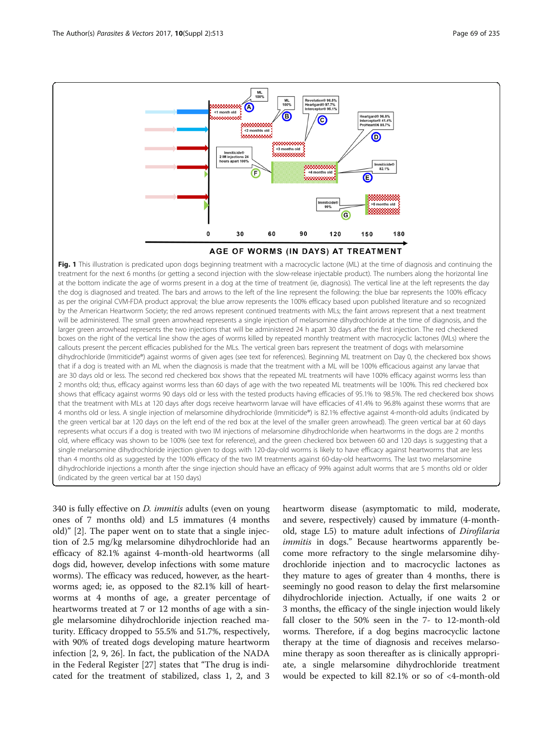<span id="page-4-0"></span>

that the treatment with MLs at 120 days after dogs receive heartworm larvae will have efficacies of 41.4% to 96.8% against these worms that are 4 months old or less. A single injection of melarsomine dihydrochloride (Immiticide®) is 82.1% effective against 4-month-old adults (indicated by the green vertical bar at 120 days on the left end of the red box at the level of the smaller green arrowhead). The green vertical bar at 60 days represents what occurs if a dog is treated with two IM injections of melarsomine dihydrochloride when heartworms in the dogs are 2 months old, where efficacy was shown to be 100% (see text for reference), and the green checkered box between 60 and 120 days is suggesting that a single melarsomine dihydrochloride injection given to dogs with 120-day-old worms is likely to have efficacy against heartworms that are less than 4 months old as suggested by the 100% efficacy of the two IM treatments against 60-day-old heartworms. The last two melarsomine dihydrochloride injections a month after the singe injection should have an efficacy of 99% against adult worms that are 5 months old or older (indicated by the green vertical bar at 150 days)

340 is fully effective on D. immitis adults (even on young ones of 7 months old) and L5 immatures (4 months old)" [[2\]](#page-7-0). The paper went on to state that a single injection of 2.5 mg/kg melarsomine dihydrochloride had an efficacy of 82.1% against 4-month-old heartworms (all dogs did, however, develop infections with some mature worms). The efficacy was reduced, however, as the heartworms aged; ie, as opposed to the 82.1% kill of heartworms at 4 months of age, a greater percentage of heartworms treated at 7 or 12 months of age with a single melarsomine dihydrochloride injection reached maturity. Efficacy dropped to 55.5% and 51.7%, respectively, with 90% of treated dogs developing mature heartworm infection [\[2, 9](#page-7-0), [26](#page-7-0)]. In fact, the publication of the NADA in the Federal Register [[27\]](#page-7-0) states that "The drug is indicated for the treatment of stabilized, class 1, 2, and 3

heartworm disease (asymptomatic to mild, moderate, and severe, respectively) caused by immature (4-monthold, stage L5) to mature adult infections of Dirofilaria immitis in dogs." Because heartworms apparently become more refractory to the single melarsomine dihydrochloride injection and to macrocyclic lactones as they mature to ages of greater than 4 months, there is seemingly no good reason to delay the first melarsomine dihydrochloride injection. Actually, if one waits 2 or 3 months, the efficacy of the single injection would likely fall closer to the 50% seen in the 7- to 12-month-old worms. Therefore, if a dog begins macrocyclic lactone therapy at the time of diagnosis and receives melarsomine therapy as soon thereafter as is clinically appropriate, a single melarsomine dihydrochloride treatment would be expected to kill 82.1% or so of <4-month-old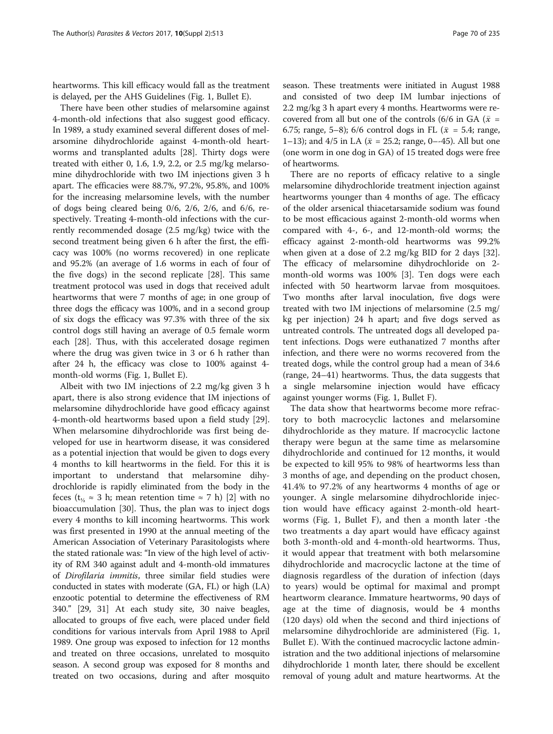heartworms. This kill efficacy would fall as the treatment is delayed, per the AHS Guidelines (Fig. [1](#page-4-0), Bullet E).

There have been other studies of melarsomine against 4-month-old infections that also suggest good efficacy. In 1989, a study examined several different doses of melarsomine dihydrochloride against 4-month-old heartworms and transplanted adults [\[28](#page-7-0)]. Thirty dogs were treated with either 0, 1.6, 1.9, 2.2, or 2.5 mg/kg melarsomine dihydrochloride with two IM injections given 3 h apart. The efficacies were 88.7%, 97.2%, 95.8%, and 100% for the increasing melarsomine levels, with the number of dogs being cleared being 0/6, 2/6, 2/6, and 6/6, respectively. Treating 4-month-old infections with the currently recommended dosage (2.5 mg/kg) twice with the second treatment being given 6 h after the first, the efficacy was 100% (no worms recovered) in one replicate and 95.2% (an average of 1.6 worms in each of four of the five dogs) in the second replicate [[28\]](#page-7-0). This same treatment protocol was used in dogs that received adult heartworms that were 7 months of age; in one group of three dogs the efficacy was 100%, and in a second group of six dogs the efficacy was 97.3% with three of the six control dogs still having an average of 0.5 female worm each [\[28](#page-7-0)]. Thus, with this accelerated dosage regimen where the drug was given twice in 3 or 6 h rather than after 24 h, the efficacy was close to 100% against 4 month-old worms (Fig. [1](#page-4-0), Bullet E).

Albeit with two IM injections of 2.2 mg/kg given 3 h apart, there is also strong evidence that IM injections of melarsomine dihydrochloride have good efficacy against 4-month-old heartworms based upon a field study [\[29](#page-7-0)]. When melarsomine dihydrochloride was first being developed for use in heartworm disease, it was considered as a potential injection that would be given to dogs every 4 months to kill heartworms in the field. For this it is important to understand that melarsomine dihydrochloride is rapidly eliminated from the body in the feces ( $t_{1/2} \approx 3$  h; mean retention time  $\approx 7$  h) [[2\]](#page-7-0) with no bioaccumulation [[30](#page-8-0)]. Thus, the plan was to inject dogs every 4 months to kill incoming heartworms. This work was first presented in 1990 at the annual meeting of the American Association of Veterinary Parasitologists where the stated rationale was: "In view of the high level of activity of RM 340 against adult and 4-month-old immatures of Dirofilaria immitis, three similar field studies were conducted in states with moderate (GA, FL) or high (LA) enzootic potential to determine the effectiveness of RM 340." [\[29](#page-7-0), [31](#page-8-0)] At each study site, 30 naive beagles, allocated to groups of five each, were placed under field conditions for various intervals from April 1988 to April 1989. One group was exposed to infection for 12 months and treated on three occasions, unrelated to mosquito season. A second group was exposed for 8 months and treated on two occasions, during and after mosquito season. These treatments were initiated in August 1988 and consisted of two deep IM lumbar injections of 2.2 mg/kg 3 h apart every 4 months. Heartworms were recovered from all but one of the controls (6/6 in GA ( $\bar{x}$  = 6.75; range, 5–8); 6/6 control dogs in FL ( $\bar{x}$  = 5.4; range, 1–13); and 4/5 in LA ( $\bar{x}$  = 25.2; range, 0–-45). All but one (one worm in one dog in GA) of 15 treated dogs were free of heartworms.

There are no reports of efficacy relative to a single melarsomine dihydrochloride treatment injection against heartworms younger than 4 months of age. The efficacy of the older arsenical thiacetarsamide sodium was found to be most efficacious against 2-month-old worms when compared with 4-, 6-, and 12-month-old worms; the efficacy against 2-month-old heartworms was 99.2% when given at a dose of 2.2 mg/kg BID for 2 days [\[32](#page-8-0)]. The efficacy of melarsomine dihydrochloride on 2 month-old worms was 100% [[3\]](#page-7-0). Ten dogs were each infected with 50 heartworm larvae from mosquitoes. Two months after larval inoculation, five dogs were treated with two IM injections of melarsomine (2.5 mg/ kg per injection) 24 h apart; and five dogs served as untreated controls. The untreated dogs all developed patent infections. Dogs were euthanatized 7 months after infection, and there were no worms recovered from the treated dogs, while the control group had a mean of 34.6 (range, 24–41) heartworms. Thus, the data suggests that a single melarsomine injection would have efficacy against younger worms (Fig. [1](#page-4-0), Bullet F).

The data show that heartworms become more refractory to both macrocyclic lactones and melarsomine dihydrochloride as they mature. If macrocyclic lactone therapy were begun at the same time as melarsomine dihydrochloride and continued for 12 months, it would be expected to kill 95% to 98% of heartworms less than 3 months of age, and depending on the product chosen, 41.4% to 97.2% of any heartworms 4 months of age or younger. A single melarsomine dihydrochloride injection would have efficacy against 2-month-old heartworms (Fig. [1,](#page-4-0) Bullet F), and then a month later -the two treatments a day apart would have efficacy against both 3-month-old and 4-month-old heartworms. Thus, it would appear that treatment with both melarsomine dihydrochloride and macrocyclic lactone at the time of diagnosis regardless of the duration of infection (days to years) would be optimal for maximal and prompt heartworm clearance. Immature heartworms, 90 days of age at the time of diagnosis, would be 4 months (120 days) old when the second and third injections of melarsomine dihydrochloride are administered (Fig. [1](#page-4-0), Bullet E). With the continued macrocyclic lactone administration and the two additional injections of melarsomine dihydrochloride 1 month later, there should be excellent removal of young adult and mature heartworms. At the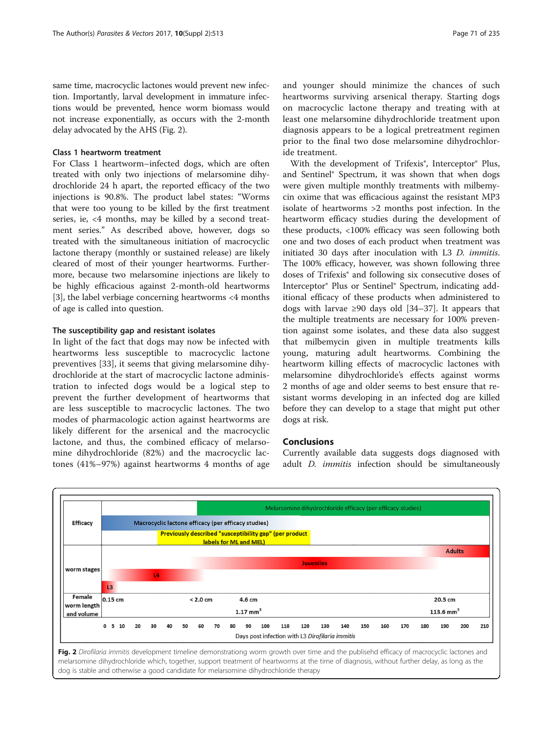<span id="page-6-0"></span>same time, macrocyclic lactones would prevent new infection. Importantly, larval development in immature infections would be prevented, hence worm biomass would not increase exponentially, as occurs with the 2-month delay advocated by the AHS (Fig. 2).

# Class 1 heartworm treatment

For Class 1 heartworm–infected dogs, which are often treated with only two injections of melarsomine dihydrochloride 24 h apart, the reported efficacy of the two injections is 90.8%. The product label states: "Worms that were too young to be killed by the first treatment series, ie, <4 months, may be killed by a second treatment series." As described above, however, dogs so treated with the simultaneous initiation of macrocyclic lactone therapy (monthly or sustained release) are likely cleared of most of their younger heartworms. Furthermore, because two melarsomine injections are likely to be highly efficacious against 2-month-old heartworms [[3\]](#page-7-0), the label verbiage concerning heartworms <4 months of age is called into question.

# The susceptibility gap and resistant isolates

In light of the fact that dogs may now be infected with heartworms less susceptible to macrocyclic lactone preventives [[33\]](#page-8-0), it seems that giving melarsomine dihydrochloride at the start of macrocyclic lactone administration to infected dogs would be a logical step to prevent the further development of heartworms that are less susceptible to macrocyclic lactones. The two modes of pharmacologic action against heartworms are likely different for the arsenical and the macrocyclic lactone, and thus, the combined efficacy of melarsomine dihydrochloride (82%) and the macrocyclic lactones (41%–97%) against heartworms 4 months of age and younger should minimize the chances of such heartworms surviving arsenical therapy. Starting dogs on macrocyclic lactone therapy and treating with at least one melarsomine dihydrochloride treatment upon diagnosis appears to be a logical pretreatment regimen prior to the final two dose melarsomine dihydrochloride treatment.

With the development of Trifexis<sup>®</sup>, Interceptor<sup>®</sup> Plus, and Sentinel® Spectrum, it was shown that when dogs were given multiple monthly treatments with milbemycin oxime that was efficacious against the resistant MP3 isolate of heartworms >2 months post infection. In the heartworm efficacy studies during the development of these products, <100% efficacy was seen following both one and two doses of each product when treatment was initiated 30 days after inoculation with L3 D. immitis. The 100% efficacy, however, was shown following three doses of Trifexis® and following six consecutive doses of Interceptor® Plus or Sentinel® Spectrum, indicating additional efficacy of these products when administered to dogs with larvae ≥90 days old [\[34](#page-8-0)–[37\]](#page-8-0). It appears that the multiple treatments are necessary for 100% prevention against some isolates, and these data also suggest that milbemycin given in multiple treatments kills young, maturing adult heartworms. Combining the heartworm killing effects of macrocyclic lactones with melarsomine dihydrochloride's effects against worms 2 months of age and older seems to best ensure that resistant worms developing in an infected dog are killed before they can develop to a stage that might put other dogs at risk.

# Conclusions

Currently available data suggests dogs diagnosed with adult D. immitis infection should be simultaneously



melarsomine dihydrochloride which, together, support treatment of heartworms at the time of diagnosis, without further delay, as long as the dog is stable and otherwise a good candidate for melarsomine dihydrochloride therapy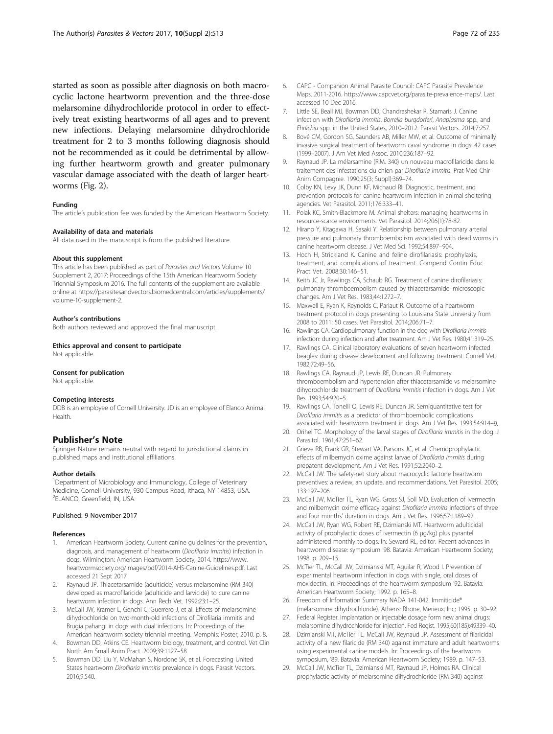<span id="page-7-0"></span>started as soon as possible after diagnosis on both macrocyclic lactone heartworm prevention and the three-dose melarsomine dihydrochloride protocol in order to effectively treat existing heartworms of all ages and to prevent new infections. Delaying melarsomine dihydrochloride treatment for 2 to 3 months following diagnosis should not be recommended as it could be detrimental by allowing further heartworm growth and greater pulmonary vascular damage associated with the death of larger heartworms (Fig. [2](#page-6-0)).

#### Funding

The article's publication fee was funded by the American Heartworm Society.

#### Availability of data and materials

All data used in the manuscript is from the published literature.

#### About this supplement

This article has been published as part of Parasites and Vectors Volume 10 Supplement 2, 2017: Proceedings of the 15th American Heartworm Society Triennial Symposium 2016. The full contents of the supplement are available online at [https://parasitesandvectors.biomedcentral.com/articles/supplements/](https://parasitesandvectors.biomedcentral.com/articles/supplements/volume-10-supplement-2) [volume-10-supplement-2.](https://parasitesandvectors.biomedcentral.com/articles/supplements/volume-10-supplement-2)

#### Author's contributions

Both authors reviewed and approved the final manuscript.

#### Ethics approval and consent to participate

Not applicable.

#### Consent for publication

Not applicable.

#### Competing interests

DDB is an employee of Cornell University. JD is an employee of Elanco Animal Health.

# Publisher's Note

Springer Nature remains neutral with regard to jurisdictional claims in published maps and institutional affiliations.

#### Author details

<sup>1</sup>Department of Microbiology and Immunology, College of Veterinary Medicine, Cornell University, 930 Campus Road, Ithaca, NY 14853, USA. 2 ELANCO, Greenfield, IN, USA.

#### Published: 9 November 2017

#### References

- American Heartworm Society. Current canine guidelines for the prevention, diagnosis, and management of heartworm (Dirofilaria immitis) infection in dogs. Wilmington: American Heartworm Society; 2014. [https://www.](https://www.heartwormsociety.org/images/pdf/2014-AHS-Canine-Guidelines.pdf) [heartwormsociety.org/images/pdf/2014-AHS-Canine-Guidelines.pdf.](https://www.heartwormsociety.org/images/pdf/2014-AHS-Canine-Guidelines.pdf) Last accessed 21 Sept 2017
- 2. Raynaud JP. Thiacetarsamide (adulticide) versus melarsomine (RM 340) developed as macrofilaricide (adulticide and larvicide) to cure canine heartworm infection in dogs. Ann Rech Vet. 1992;23:1–25.
- 3. McCall JW, Kramer L, Genchi C, Guerrero J, et al. Effects of melarsomine dihydrochloride on two-month-old infections of Dirofilaria immitis and Brugia pahangi in dogs with dual infections. In: Proceedings of the American heartworm society triennial meeting. Memphis: Poster; 2010. p. 8.
- 4. Bowman DD, Atkins CE. Heartworm biology, treatment, and control. Vet Clin North Am Small Anim Pract. 2009;39:1127–58.
- 5. Bowman DD, Liu Y, McMahan S, Nordone SK, et al. Forecasting United States heartworm Dirofilaria immitis prevalence in dogs. Parasit Vectors. 2016;9:540.
- 6. CAPC Companion Animal Parasite Council: CAPC Parasite Prevalence Maps. 2011-2016.<https://www.capcvet.org/parasite-prevalence-maps/>. Last accessed 10 Dec 2016.
- 7. Little SE, Beall MJ, Bowman DD, Chandrashekar R, Stamaris J. Canine infection with Dirofilaria immitis, Borrelia burgdorferi, Anaplasma spp., and Ehrlichia spp. in the United States, 2010–2012. Parasit Vectors. 2014;7:257.
- 8. Bové CM, Gordon SG, Saunders AB, Miller MW, et al. Outcome of minimally invasive surgical treatment of heartworm caval syndrome in dogs: 42 cases (1999–2007). J Am Vet Med Assoc. 2010;236:187–92.
- 9. Raynaud JP. La mélarsamine (R.M. 340) un nouveau macrofilaricide dans le traitement des infestations du chien par Dirofilaria immitis. Prat Med Chir Anim Compagnie. 1990;25(3; Suppl):369–74.
- 10. Colby KN, Levy JK, Dunn KF, Michaud RI. Diagnostic, treatment, and prevention protocols for canine heartworm infection in animal sheltering agencies. Vet Parasitol. 2011;176:333–41.
- 11. Polak KC, Smith-Blackmore M. Animal shelters: managing heartworms in resource-scarce environments. Vet Parasitol. 2014;206(1):78-82.
- 12. Hirano Y, Kitagawa H, Sasaki Y. Relationship between pulmonary arterial pressure and pulmonary thromboembolism associated with dead worms in canine heartworm disease. J Vet Med Sci. 1992;54:897–904.
- 13. Hoch H, Strickland K. Canine and feline dirofilariasis: prophylaxis, treatment, and complications of treatment. Compend Contin Educ Pract Vet. 2008;30:146–51.
- 14. Keith JC Jr, Rawlings CA, Schaub RG. Treatment of canine dirofilariasis: pulmonary thromboembolism caused by thiacetarsamide–microscopic changes. Am J Vet Res. 1983;44:1272–7.
- 15. Maxwell E, Ryan K, Reynolds C, Pariaut R. Outcome of a heartworm treatment protocol in dogs presenting to Louisiana State University from 2008 to 2011: 50 cases. Vet Parasitol. 2014;206:71–7.
- 16. Rawlings CA. Cardiopulmonary function in the dog with Dirofilaria immitis infection: during infection and after treatment. Am J Vet Res. 1980;41:319–25.
- 17. Rawlings CA. Clinical laboratory evaluations of seven heartworm infected beagles: during disease development and following treatment. Cornell Vet. 1982;72:49–56.
- 18. Rawlings CA, Raynaud JP, Lewis RE, Duncan JR. Pulmonary thromboembolism and hypertension after thiacetarsamide vs melarsomine dihydrochloride treatment of Dirofilaria immitis infection in dogs. Am J Vet Res. 1993;54:920–5.
- 19. Rawlings CA, Tonelli Q, Lewis RE, Duncan JR. Semiquantitative test for Dirofilaria immitis as a predictor of thromboembolic complications associated with heartworm treatment in dogs. Am J Vet Res. 1993;54:914–9.
- 20. Orihel TC. Morphology of the larval stages of Dirofilaria immitis in the dog. J Parasitol. 1961;47:251–62.
- 21. Grieve RB, Frank GR, Stewart VA, Parsons JC, et al. Chemoprophylactic effects of milbemycin oxime against larvae of Dirofilaria immitis during prepatent development. Am J Vet Res. 1991;52:2040–2.
- 22. McCall JW. The safety-net story about macrocyclic lactone heartworm preventives: a review, an update, and recommendations. Vet Parasitol. 2005; 133:197–206.
- 23. McCall JW, McTier TL, Ryan WG, Gross SJ, Soll MD. Evaluation of ivermectin and milbemycin oxime efficacy against Dirofilaria immitis infections of three and four months' duration in dogs. Am J Vet Res. 1996;57:1189–92.
- 24. McCall JW, Ryan WG, Robert RE, Dzimianski MT. Heartworm adulticidal activity of prophylactic doses of ivermectin (6 μg/kg) plus pyrantel administered monthly to dogs. In: Seward RL, editor. Recent advances in heartworm disease: symposium '98. Batavia: American Heartworm Society; 1998. p. 209–15.
- 25. McTier TL, McCall JW, Dzimianski MT, Aguilar R, Wood I. Prevention of experimental heartworm infection in dogs with single, oral doses of moxidectin. In: Proceedings of the heartworm symposium '92. Batavia: American Heartworm Society; 1992. p. 165–8.
- 26. Freedom of Information Summary NADA 141-042. Immiticide® (melarsomine dihydrochloride). Athens: Rhone, Merieux, Inc; 1995. p. 30–92.
- 27. Federal Register. Implantation or injectable dosage form new animal drugs; melarsomine dihydrochloride for injection. Fed Regist. 1995;60(185):49339–40.
- 28. Dzimianski MT, McTier TL, McCall JW, Reynaud JP. Assessment of filaricidal activity of a new filaricide (RM 340) against immature and adult heartworms using experimental canine models. In: Proceedings of the heartworm symposium, '89. Batavia: American Heartworm Society; 1989. p. 147–53.
- 29. McCall JW, McTier TL, Dzimianski MT, Raynaud JP, Holmes RA. Clinical prophylactic activity of melarsomine dihydrochloride (RM 340) against